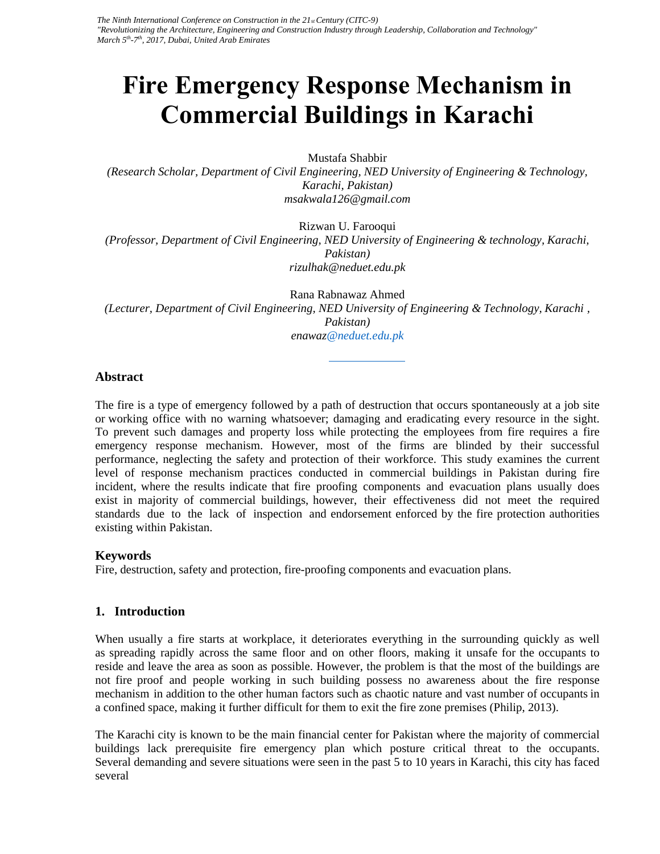# **Fire Emergency Response Mechanism in Commercial Buildings in Karachi**

Mustafa Shabbir

*(Research Scholar, Department of Civil Engineering, NED University of Engineering & Technology, Karachi, Pakistan) msakwala126@gmail.com*

Rizwan U. Farooqui

*(Professor, Department of Civil Engineering, NED University of Engineering & technology, Karachi, Pakistan) rizulhak@neduet.edu.pk*

Rana Rabnawaz Ahmed *(Lecturer, Department of Civil Engineering, NED University of Engineering & Technology, Karachi , Pakistan) enawaz@neduet.edu.pk*

# **Abstract**

The fire is a type of emergency followed by a path of destruction that occurs spontaneously at a job site or working office with no warning whatsoever; damaging and eradicating every resource in the sight. To prevent such damages and property loss while protecting the employees from fire requires a fire emergency response mechanism. However, most of the firms are blinded by their successful performance, neglecting the safety and protection of their workforce. This study examines the current level of response mechanism practices conducted in commercial buildings in Pakistan during fire incident, where the results indicate that fire proofing components and evacuation plans usually does exist in majority of commercial buildings, however, their effectiveness did not meet the required standards due to the lack of inspection and endorsement enforced by the fire protection authorities existing within Pakistan.

# **Keywords**

Fire, destruction, safety and protection, fire-proofing components and evacuation plans.

# **1. Introduction**

When usually a fire starts at workplace, it deteriorates everything in the surrounding quickly as well as spreading rapidly across the same floor and on other floors, making it unsafe for the occupants to reside and leave the area as soon as possible. However, the problem is that the most of the buildings are not fire proof and people working in such building possess no awareness about the fire response mechanism in addition to the other human factors such as chaotic nature and vast number of occupants in a confined space, making it further difficult for them to exit the fire zone premises (Philip, 2013).

The Karachi city is known to be the main financial center for Pakistan where the majority of commercial buildings lack prerequisite fire emergency plan which posture critical threat to the occupants. Several demanding and severe situations were seen in the past 5 to 10 years in Karachi, this city has faced several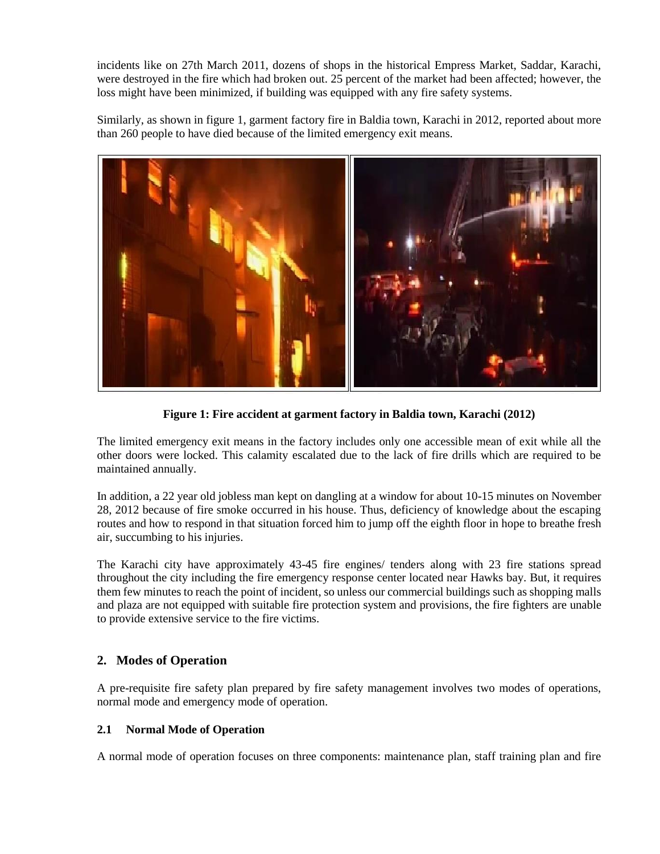incidents like on 27th March 2011, dozens of shops in the historical Empress Market, Saddar, Karachi, were destroyed in the fire which had broken out. 25 percent of the market had been affected; however, the loss might have been minimized, if building was equipped with any fire safety systems.

Similarly, as shown in figure 1, garment factory fire in Baldia town, Karachi in 2012, reported about more than 260 people to have died because of the limited emergency exit means.



**Figure 1: Fire accident at garment factory in Baldia town, Karachi (2012)**

The limited emergency exit means in the factory includes only one accessible mean of exit while all the other doors were locked. This calamity escalated due to the lack of fire drills which are required to be maintained annually.

In addition, a 22 year old jobless man kept on dangling at a window for about 10-15 minutes on November 28, 2012 because of fire smoke occurred in his house. Thus, deficiency of knowledge about the escaping routes and how to respond in that situation forced him to jump off the eighth floor in hope to breathe fresh air, succumbing to his injuries.

The Karachi city have approximately 43-45 fire engines/ tenders along with 23 fire stations spread throughout the city including the fire emergency response center located near Hawks bay. But, it requires them few minutes to reach the point of incident, so unless our commercial buildings such as shopping malls and plaza are not equipped with suitable fire protection system and provisions, the fire fighters are unable to provide extensive service to the fire victims.

# **2. Modes of Operation**

A pre-requisite fire safety plan prepared by fire safety management involves two modes of operations, normal mode and emergency mode of operation.

# **2.1 Normal Mode of Operation**

A normal mode of operation focuses on three components: maintenance plan, staff training plan and fire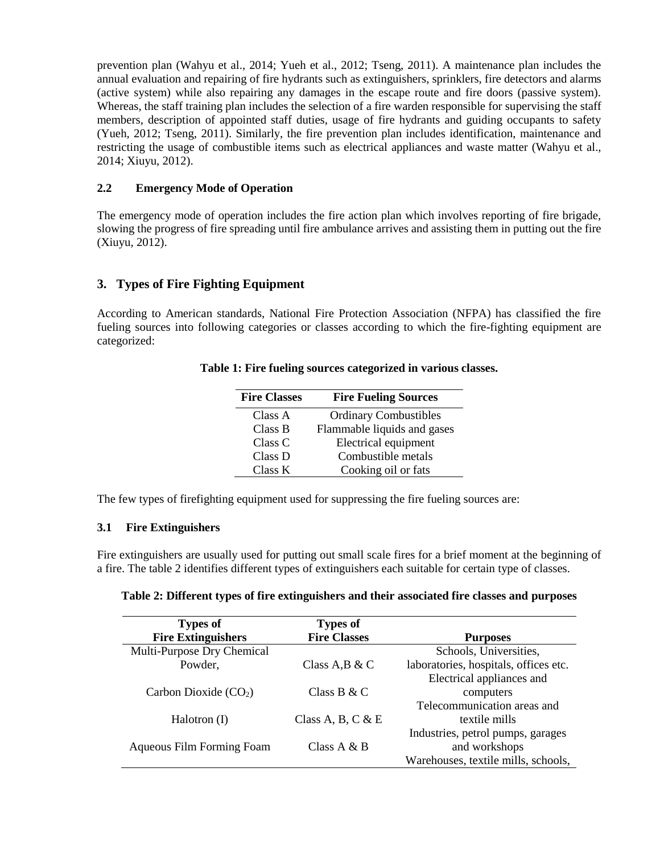prevention plan (Wahyu et al., 2014; Yueh et al., 2012; Tseng, 2011). A maintenance plan includes the annual evaluation and repairing of fire hydrants such as extinguishers, sprinklers, fire detectors and alarms (active system) while also repairing any damages in the escape route and fire doors (passive system). Whereas, the staff training plan includes the selection of a fire warden responsible for supervising the staff members, description of appointed staff duties, usage of fire hydrants and guiding occupants to safety (Yueh, 2012; Tseng, 2011). Similarly, the fire prevention plan includes identification, maintenance and restricting the usage of combustible items such as electrical appliances and waste matter (Wahyu et al., 2014; Xiuyu, 2012).

## **2.2 Emergency Mode of Operation**

The emergency mode of operation includes the fire action plan which involves reporting of fire brigade, slowing the progress of fire spreading until fire ambulance arrives and assisting them in putting out the fire (Xiuyu, 2012).

# **3. Types of Fire Fighting Equipment**

According to American standards, National Fire Protection Association (NFPA) has classified the fire fueling sources into following categories or classes according to which the fire-fighting equipment are categorized:

| <b>Fire Classes</b> | <b>Fire Fueling Sources</b>  |
|---------------------|------------------------------|
| Class A             | <b>Ordinary Combustibles</b> |
| Class B             | Flammable liquids and gases  |
| Class C             | Electrical equipment         |
| Class D             | Combustible metals           |
| Class K             | Cooking oil or fats          |

#### **Table 1: Fire fueling sources categorized in various classes.**

The few types of firefighting equipment used for suppressing the fire fueling sources are:

#### **3.1 Fire Extinguishers**

Fire extinguishers are usually used for putting out small scale fires for a brief moment at the beginning of a fire. The table 2 identifies different types of extinguishers each suitable for certain type of classes.

| Table 2: Different types of fire extinguishers and their associated fire classes and purposes |  |  |
|-----------------------------------------------------------------------------------------------|--|--|
|                                                                                               |  |  |

| <b>Types of</b>                  | <b>Types of</b>     |                                       |
|----------------------------------|---------------------|---------------------------------------|
| <b>Fire Extinguishers</b>        | <b>Fire Classes</b> | <b>Purposes</b>                       |
| Multi-Purpose Dry Chemical       |                     | Schools, Universities,                |
| Powder,                          | Class $A, B \& C$   | laboratories, hospitals, offices etc. |
|                                  |                     | Electrical appliances and             |
| Carbon Dioxide $(CO2)$           | Class B & C         | computers                             |
|                                  |                     | Telecommunication areas and           |
| Halotron (I)                     | Class A, B, C & E   | textile mills                         |
|                                  |                     | Industries, petrol pumps, garages     |
| <b>Aqueous Film Forming Foam</b> | Class $A \& B$      | and workshops                         |
|                                  |                     | Warehouses, textile mills, schools,   |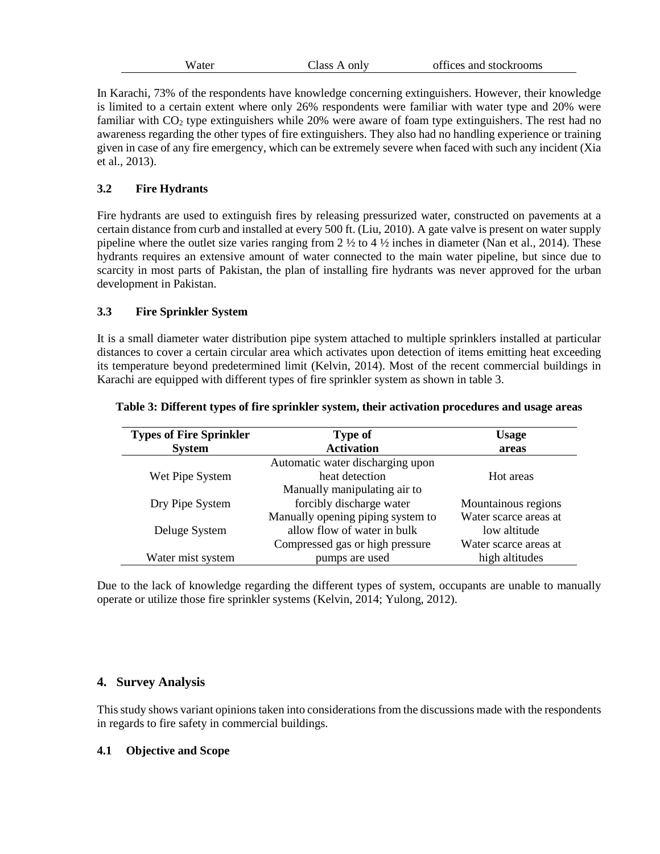| W ater | Class A only | offices and stockrooms |
|--------|--------------|------------------------|
|        |              |                        |

In Karachi, 73% of the respondents have knowledge concerning extinguishers. However, their knowledge is limited to a certain extent where only 26% respondents were familiar with water type and 20% were familiar with  $CO<sub>2</sub>$  type extinguishers while 20% were aware of foam type extinguishers. The rest had no awareness regarding the other types of fire extinguishers. They also had no handling experience or training given in case of any fire emergency, which can be extremely severe when faced with such any incident (Xia et al., 2013).

# **3.2 Fire Hydrants**

Fire hydrants are used to extinguish fires by releasing pressurized water, constructed on pavements at a certain distance from curb and installed at every 500 ft. (Liu, 2010). A gate valve is present on water supply pipeline where the outlet size varies ranging from  $2 \frac{1}{2}$  to  $4 \frac{1}{2}$  inches in diameter (Nan et al., 2014). These hydrants requires an extensive amount of water connected to the main water pipeline, but since due to scarcity in most parts of Pakistan, the plan of installing fire hydrants was never approved for the urban development in Pakistan.

# **3.3 Fire Sprinkler System**

It is a small diameter water distribution pipe system attached to multiple sprinklers installed at particular distances to cover a certain circular area which activates upon detection of items emitting heat exceeding its temperature beyond predetermined limit (Kelvin, 2014). Most of the recent commercial buildings in Karachi are equipped with different types of fire sprinkler system as shown in table 3.

| <b>Types of Fire Sprinkler</b> | <b>Type of</b>                    | <b>Usage</b>          |
|--------------------------------|-----------------------------------|-----------------------|
| <b>System</b>                  | <b>Activation</b>                 | areas                 |
|                                | Automatic water discharging upon  |                       |
| Wet Pipe System                | heat detection                    | Hot areas             |
|                                | Manually manipulating air to      |                       |
| Dry Pipe System                | forcibly discharge water          | Mountainous regions   |
|                                | Manually opening piping system to | Water scarce areas at |
| Deluge System                  | allow flow of water in bulk       | low altitude          |
|                                | Compressed gas or high pressure   | Water scarce areas at |
| Water mist system              | pumps are used                    | high altitudes        |

#### **Table 3: Different types of fire sprinkler system, their activation procedures and usage areas**

Due to the lack of knowledge regarding the different types of system, occupants are unable to manually operate or utilize those fire sprinkler systems (Kelvin, 2014; Yulong, 2012).

# **4. Survey Analysis**

This study shows variant opinions taken into considerations from the discussions made with the respondents in regards to fire safety in commercial buildings.

# **4.1 Objective and Scope**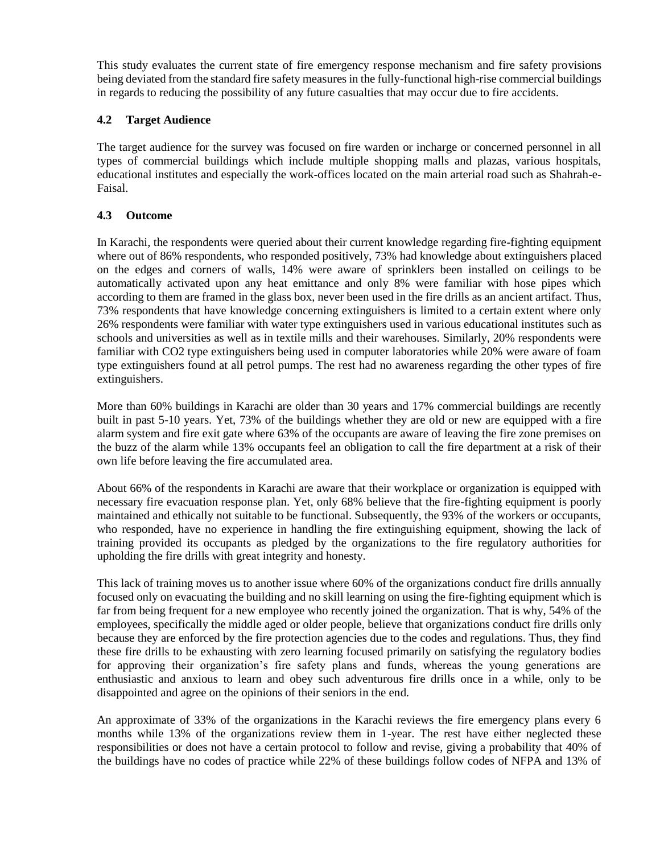This study evaluates the current state of fire emergency response mechanism and fire safety provisions being deviated from the standard fire safety measures in the fully-functional high-rise commercial buildings in regards to reducing the possibility of any future casualties that may occur due to fire accidents.

## **4.2 Target Audience**

The target audience for the survey was focused on fire warden or incharge or concerned personnel in all types of commercial buildings which include multiple shopping malls and plazas, various hospitals, educational institutes and especially the work-offices located on the main arterial road such as Shahrah-e-Faisal.

#### **4.3 Outcome**

In Karachi, the respondents were queried about their current knowledge regarding fire-fighting equipment where out of 86% respondents, who responded positively, 73% had knowledge about extinguishers placed on the edges and corners of walls, 14% were aware of sprinklers been installed on ceilings to be automatically activated upon any heat emittance and only 8% were familiar with hose pipes which according to them are framed in the glass box, never been used in the fire drills as an ancient artifact. Thus, 73% respondents that have knowledge concerning extinguishers is limited to a certain extent where only 26% respondents were familiar with water type extinguishers used in various educational institutes such as schools and universities as well as in textile mills and their warehouses. Similarly, 20% respondents were familiar with CO2 type extinguishers being used in computer laboratories while 20% were aware of foam type extinguishers found at all petrol pumps. The rest had no awareness regarding the other types of fire extinguishers.

More than 60% buildings in Karachi are older than 30 years and 17% commercial buildings are recently built in past 5-10 years. Yet, 73% of the buildings whether they are old or new are equipped with a fire alarm system and fire exit gate where 63% of the occupants are aware of leaving the fire zone premises on the buzz of the alarm while 13% occupants feel an obligation to call the fire department at a risk of their own life before leaving the fire accumulated area.

About 66% of the respondents in Karachi are aware that their workplace or organization is equipped with necessary fire evacuation response plan. Yet, only 68% believe that the fire-fighting equipment is poorly maintained and ethically not suitable to be functional. Subsequently, the 93% of the workers or occupants, who responded, have no experience in handling the fire extinguishing equipment, showing the lack of training provided its occupants as pledged by the organizations to the fire regulatory authorities for upholding the fire drills with great integrity and honesty.

This lack of training moves us to another issue where 60% of the organizations conduct fire drills annually focused only on evacuating the building and no skill learning on using the fire-fighting equipment which is far from being frequent for a new employee who recently joined the organization. That is why, 54% of the employees, specifically the middle aged or older people, believe that organizations conduct fire drills only because they are enforced by the fire protection agencies due to the codes and regulations. Thus, they find these fire drills to be exhausting with zero learning focused primarily on satisfying the regulatory bodies for approving their organization's fire safety plans and funds, whereas the young generations are enthusiastic and anxious to learn and obey such adventurous fire drills once in a while, only to be disappointed and agree on the opinions of their seniors in the end.

An approximate of 33% of the organizations in the Karachi reviews the fire emergency plans every 6 months while 13% of the organizations review them in 1-year. The rest have either neglected these responsibilities or does not have a certain protocol to follow and revise, giving a probability that 40% of the buildings have no codes of practice while 22% of these buildings follow codes of NFPA and 13% of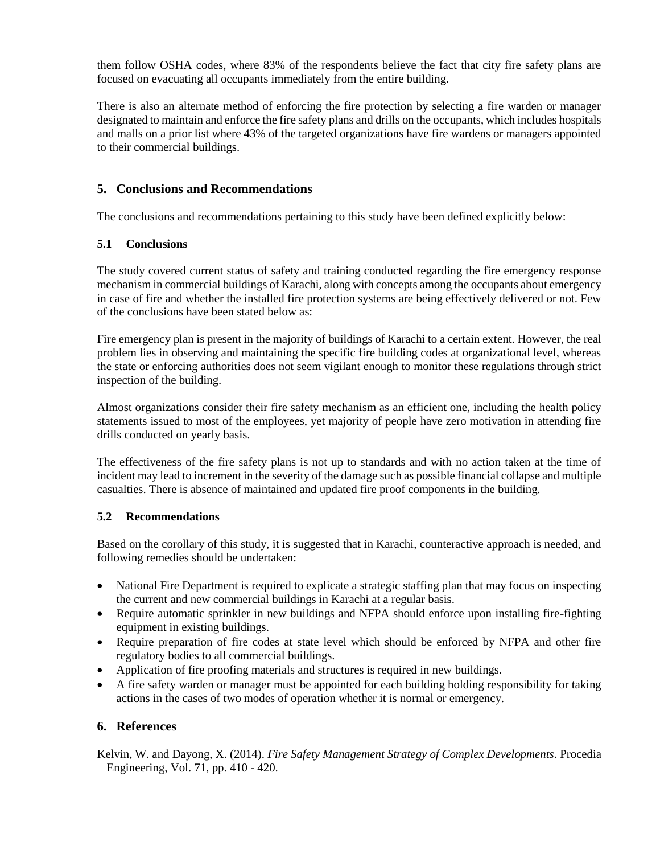them follow OSHA codes, where 83% of the respondents believe the fact that city fire safety plans are focused on evacuating all occupants immediately from the entire building.

There is also an alternate method of enforcing the fire protection by selecting a fire warden or manager designated to maintain and enforce the fire safety plans and drills on the occupants, which includes hospitals and malls on a prior list where 43% of the targeted organizations have fire wardens or managers appointed to their commercial buildings.

# **5. Conclusions and Recommendations**

The conclusions and recommendations pertaining to this study have been defined explicitly below:

#### **5.1 Conclusions**

The study covered current status of safety and training conducted regarding the fire emergency response mechanism in commercial buildings of Karachi, along with concepts among the occupants about emergency in case of fire and whether the installed fire protection systems are being effectively delivered or not. Few of the conclusions have been stated below as:

Fire emergency plan is present in the majority of buildings of Karachi to a certain extent. However, the real problem lies in observing and maintaining the specific fire building codes at organizational level, whereas the state or enforcing authorities does not seem vigilant enough to monitor these regulations through strict inspection of the building.

Almost organizations consider their fire safety mechanism as an efficient one, including the health policy statements issued to most of the employees, yet majority of people have zero motivation in attending fire drills conducted on yearly basis.

The effectiveness of the fire safety plans is not up to standards and with no action taken at the time of incident may lead to increment in the severity of the damage such as possible financial collapse and multiple casualties. There is absence of maintained and updated fire proof components in the building.

# **5.2 Recommendations**

Based on the corollary of this study, it is suggested that in Karachi, counteractive approach is needed, and following remedies should be undertaken:

- National Fire Department is required to explicate a strategic staffing plan that may focus on inspecting the current and new commercial buildings in Karachi at a regular basis.
- Require automatic sprinkler in new buildings and NFPA should enforce upon installing fire-fighting equipment in existing buildings.
- Require preparation of fire codes at state level which should be enforced by NFPA and other fire regulatory bodies to all commercial buildings.
- Application of fire proofing materials and structures is required in new buildings.
- A fire safety warden or manager must be appointed for each building holding responsibility for taking actions in the cases of two modes of operation whether it is normal or emergency.

# **6. References**

Kelvin, W. and Dayong, X. (2014). *Fire Safety Management Strategy of Complex Developments*. Procedia Engineering, Vol. 71, pp. 410 - 420.